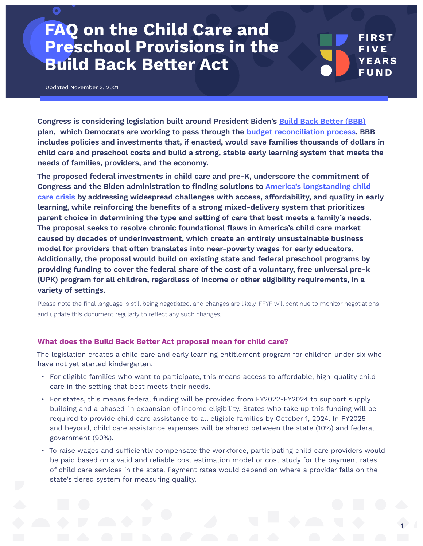# **FAQ on the Child Care and Preschool Provisions in the Build Back Beter Act**

Updated November 3, 2021

 $\bullet$ 

**Congress is considering legislation built around President Biden's Build Back Beter (BBB) plan, which Democrats are working to pass through the budget reconciliation process. BBB includes policies and investments that, if enacted, would save families thousands of dollars in child care and preschool costs and build a strong, stable early learning system that meets the needs of families, providers, and the economy.** 

**The proposed federal investments in child care and pre-K, underscore the commitment of Congress and the Biden administration to fnding solutions to America's longstanding child care crisis by addressing widespread challenges with access, affordability, and quality in early learning, while reinforcing the benefts of a strong mixed-delivery system that prioritizes parent choice in determining the type and seting of care that best meets a family's needs. The proposal seeks to resolve chronic foundational faws in America's child care market caused by decades of underinvestment, which create an entirely unsustainable business model for providers that ofen translates into near-poverty wages for early educators. Additionally, the proposal would build on existing state and federal preschool programs by providing funding to cover the federal share of the cost of a voluntary, free universal pre-k (UPK) program for all children, regardless of income or other eligibility requirements, in a variety of setings.**

Please note the fnal language is still being negotiated, and changes are likely. FFYF will continue to monitor negotiations and update this document regularly to reflect any such changes.

#### **What does the Build Back Beter Act proposal mean for child care?**

The legislation creates a child care and early learning entitlement program for children under six who have not yet started kindergarten.

- For eligible families who want to participate, this means access to affordable, high-quality child care in the setting that best meets their needs.
- For states, this means federal funding will be provided from FY2022-FY2024 to support supply building and a phased-in expansion of income eligibility. States who take up this funding will be required to provide child care assistance to all eligible families by October 1, 2024. In FY2025 and beyond, child care assistance expenses will be shared between the state (10%) and federal government (90%).
- To raise wages and sufficiently compensate the workforce, participating child care providers would be paid based on a valid and reliable cost estimation model or cost study for the payment rates of child care services in the state. Payment rates would depend on where a provider falls on the state's tiered system for measuring quality.

**FIRST FIVE YEARS FUND**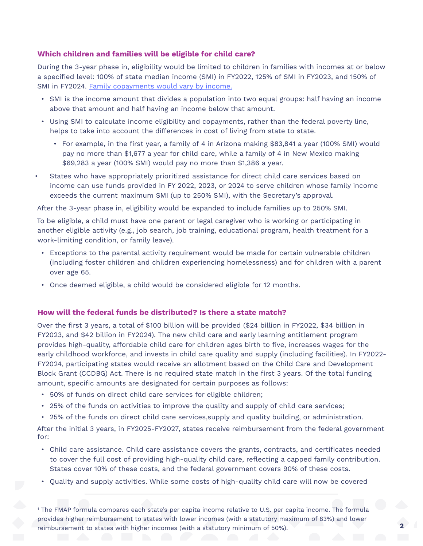# **Which children and families will be eligible for child care?**

During the 3-year phase in, eligibility would be limited to children in families with incomes at or below a specifed level: 100% of state median income (SMI) in FY2022, 125% of SMI in FY2023, and 150% of SMI in FY2024. Family copayments would vary by income.

- SMI is the income amount that divides a population into two equal groups: half having an income above that amount and half having an income below that amount.
- Using SMI to calculate income eligibility and copayments, rather than the federal poverty line, helps to take into account the differences in cost of living from state to state.
	- For example, in the frst year, a family of 4 in Arizona making \$83,841 a year (100% SMI) would pay no more than \$1,677 a year for child care, while a family of 4 in New Mexico making \$69,283 a year (100% SMI) would pay no more than \$1,386 a year.
- States who have appropriately prioritized assistance for direct child care services based on income can use funds provided in FY 2022, 2023, or 2024 to serve children whose family income exceeds the current maximum SMI (up to 250% SMI), with the Secretary's approval.

After the 3-year phase in, eligibility would be expanded to include families up to 250% SMI.

To be eligible, a child must have one parent or legal caregiver who is working or participating in another eligible activity (e.g., job search, job training, educational program, health treatment for a work-limiting condition, or family leave).

- Exceptions to the parental activity requirement would be made for certain vulnerable children (including foster children and children experiencing homelessness) and for children with a parent over age 65.
- Once deemed eligible, a child would be considered eligible for 12 months.

### **How will the federal funds be distributed? Is there a state match?**

Over the frst 3 years, a total of \$100 billion will be provided (\$24 billion in FY2022, \$34 billion in FY2023, and \$42 billion in FY2024). The new child care and early learning entitlement program provides high-quality, affordable child care for children ages birth to five, increases wages for the early childhood workforce, and invests in child care quality and supply (including facilities). In FY2022- FY2024, participating states would receive an allotment based on the Child Care and Development Block Grant (CCDBG) Act. There is no required state match in the frst 3 years. Of the total funding amount, specific amounts are designated for certain purposes as follows:

- 50% of funds on direct child care services for eligible children;
- 25% of the funds on activities to improve the quality and supply of child care services;
- 25% of the funds on direct child care services,supply and quality building, or administration.

After the initial 3 years, in FY2025-FY2027, states receive reimbursement from the federal government for:

- Child care assistance. Child care assistance covers the grants, contracts, and certifcates needed to cover the full cost of providing high-quality child care, refecting a capped family contribution. States cover 10% of these costs, and the federal government covers 90% of these costs.
- Quality and supply activities. While some costs of high-quality child care will now be covered

1 The FMAP formula compares each state's per capita income relative to U.S. per capita income. The formula provides higher reimbursement to states with lower incomes (with a statutory maximum of 83%) and lower reimbursement to states with higher incomes (with a statutory minimum of 50%).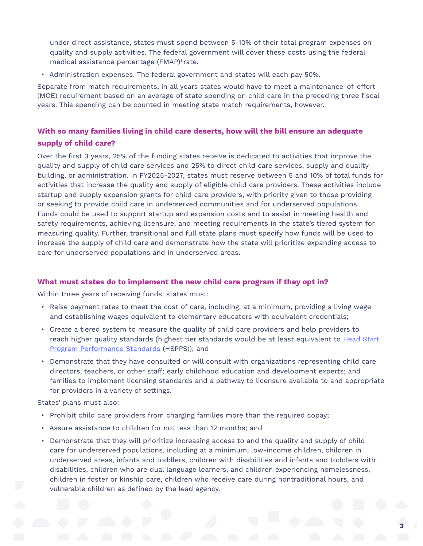under direct assistance, states must spend between 5-10% of their total program expenses on quality and supply activities. The federal government will cover these costs using the federal medical assistance percentage (FMAP)<sup>1</sup> rate.

• Administration expenses. The federal government and states will each pay 50%.

Separate from match requirements, in all years states would have to meet a maintenance-of-effort (MOE) requirement based on an average of state spending on child care in the preceding three fscal years. This spending can be counted in meeting state match requirements, however.

# **With so many families living in child care deserts, how will the bill ensure an adequate supply of child care?**

Over the frst 3 years, 25% of the funding states receive is dedicated to activities that improve the quality and supply of child care services and 25% to direct child care services, supply and quality building, or administration. In FY2025-2027, states must reserve between 5 and 10% of total funds for activities that increase the quality and supply of eligible child care providers. These activities include startup and supply expansion grants for child care providers, with priority given to those providing or seeking to provide child care in underserved communities and for underserved populations. Funds could be used to support startup and expansion costs and to assist in meeting health and safety requirements, achieving licensure, and meeting requirements in the state's tiered system for measuring quality. Further, transitional and full state plans must specify how funds will be used to increase the supply of child care and demonstrate how the state will prioritize expanding access to care for underserved populations and in underserved areas.

# **What must states do to implement the new child care program if they opt in?**

Within three years of receiving funds, states must:

- Raise payment rates to meet the cost of care, including, at a minimum, providing a living wage and establishing wages equivalent to elementary educators with equivalent credentials;
- Create a tiered system to measure the quality of child care providers and help providers to reach higher quality standards (highest tier standards would be at least equivalent to Head Start Program Performance Standards (HSPPS)); and
- Demonstrate that they have consulted or will consult with organizations representing child care directors, teachers, or other staff; early childhood education and development experts; and families to implement licensing standards and a pathway to licensure available to and appropriate for providers in a variety of settings.

States' plans must also:

- Prohibit child care providers from charging families more than the required copay;
- Assure assistance to children for not less than 12 months; and
- Demonstrate that they will prioritize increasing access to and the quality and supply of child care for underserved populations, including at a minimum, low-income children, children in underserved areas, infants and toddlers, children with disabilities and infants and toddlers with disabilities, children who are dual language learners, and children experiencing homelessness, children in foster or kinship care, children who receive care during nontraditional hours, and vulnerable children as defined by the lead agency.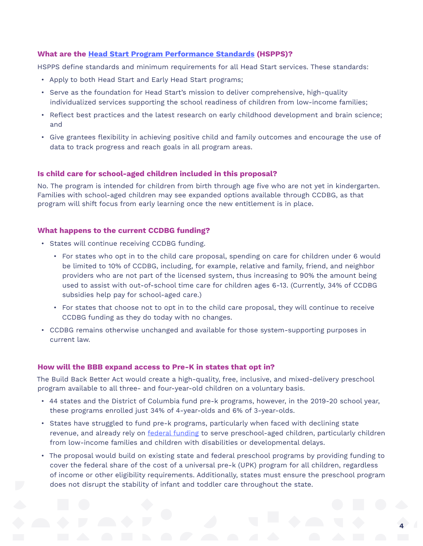# **What are the Head Start Program Performance Standards (HSPPS)?**

HSPPS defne standards and minimum requirements for all Head Start services. These standards:

- Apply to both Head Start and Early Head Start programs;
- Serve as the foundation for Head Start's mission to deliver comprehensive, high-quality individualized services supporting the school readiness of children from low-income families;
- Refect best practices and the latest research on early childhood development and brain science; and
- Give grantees fexibility in achieving positive child and family outcomes and encourage the use of data to track progress and reach goals in all program areas.

# **Is child care for school-aged children included in this proposal?**

No. The program is intended for children from birth through age fve who are not yet in kindergarten. Families with school-aged children may see expanded options available through CCDBG, as that program will shift focus from early learning once the new entitlement is in place.

# **What happens to the current CCDBG funding?**

- States will continue receiving CCDBG funding.
	- For states who opt in to the child care proposal, spending on care for children under 6 would be limited to 10% of CCDBG, including, for example, relative and family, friend, and neighbor providers who are not part of the licensed system, thus increasing to 90% the amount being used to assist with out-of-school time care for children ages 6-13. (Currently, 34% of CCDBG subsidies help pay for school-aged care.)
	- For states that choose not to opt in to the child care proposal, they will continue to receive CCDBG funding as they do today with no changes.
- CCDBG remains otherwise unchanged and available for those system-supporting purposes in current law.

#### **How will the BBB expand access to Pre-K in states that opt in?**

The Build Back Better Act would create a high-quality, free, inclusive, and mixed-delivery preschool program available to all three- and four-year-old children on a voluntary basis.

- 44 states and the District of Columbia fund pre-k programs, however, in the 2019-20 school year, these programs enrolled just 34% of 4-year-olds and 6% of 3-year-olds.
- States have struggled to fund pre-k programs, particularly when faced with declining state revenue, and already rely on federal funding to serve preschool-aged children, particularly children from low-income families and children with disabilities or developmental delays.
- The proposal would build on existing state and federal preschool programs by providing funding to cover the federal share of the cost of a universal pre-k (UPK) program for all children, regardless of income or other eligibility requirements. Additionally, states must ensure the preschool program does not disrupt the stability of infant and toddler care throughout the state.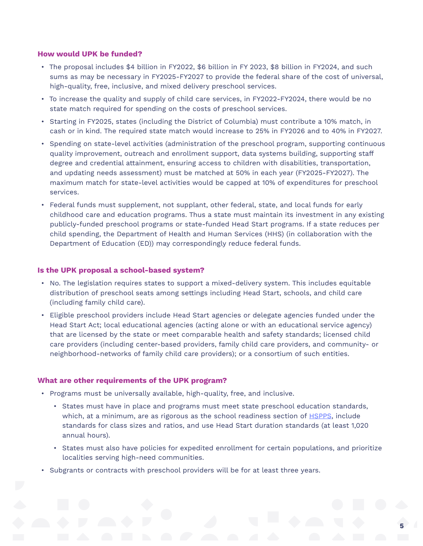## **How would UPK be funded?**

- The proposal includes \$4 billion in FY2022, \$6 billion in FY 2023, \$8 billion in FY2024, and such sums as may be necessary in FY2025-FY2027 to provide the federal share of the cost of universal, high-quality, free, inclusive, and mixed delivery preschool services.
- To increase the quality and supply of child care services, in FY2022-FY2024, there would be no state match required for spending on the costs of preschool services.
- Starting in FY2025, states (including the District of Columbia) must contribute a 10% match, in cash or in kind. The required state match would increase to 25% in FY2026 and to 40% in FY2027.
- Spending on state-level activities (administration of the preschool program, supporting continuous quality improvement, outreach and enrollment support, data systems building, supporting staff degree and credential attainment, ensuring access to children with disabilities, transportation, and updating needs assessment) must be matched at 50% in each year (FY2025-FY2027). The maximum match for state-level activities would be capped at 10% of expenditures for preschool services.
- Federal funds must supplement, not supplant, other federal, state, and local funds for early childhood care and education programs. Thus a state must maintain its investment in any existing publicly-funded preschool programs or state-funded Head Start programs. If a state reduces per child spending, the Department of Health and Human Services (HHS) (in collaboration with the Department of Education (ED)) may correspondingly reduce federal funds.

#### **Is the UPK proposal a school-based system?**

- No. The legislation requires states to support a mixed-delivery system. This includes equitable distribution of preschool seats among settings including Head Start, schools, and child care (including family child care).
- Eligible preschool providers include Head Start agencies or delegate agencies funded under the Head Start Act; local educational agencies (acting alone or with an educational service agency) that are licensed by the state or meet comparable health and safety standards; licensed child care providers (including center-based providers, family child care providers, and community- or neighborhood-networks of family child care providers); or a consortium of such entities.

#### **What are other requirements of the UPK program?**

- Programs must be universally available, high-quality, free, and inclusive.
	- States must have in place and programs must meet state preschool education standards, which, at a minimum, are as rigorous as the school readiness section of HSPPS, include standards for class sizes and ratios, and use Head Start duration standards (at least 1,020 annual hours).
	- States must also have policies for expedited enrollment for certain populations, and prioritize localities serving high-need communities.
- Subgrants or contracts with preschool providers will be for at least three years.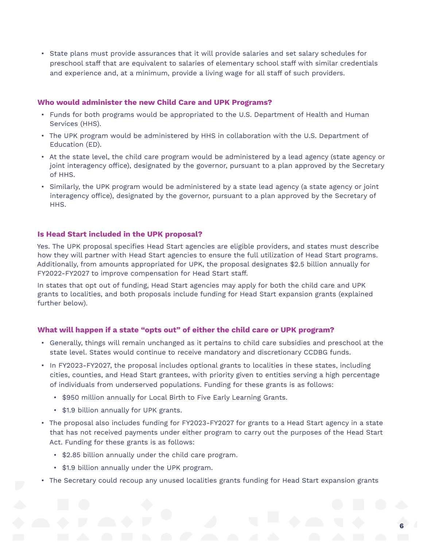• State plans must provide assurances that it will provide salaries and set salary schedules for preschool staff that are equivalent to salaries of elementary school staff with similar credentials and experience and, at a minimum, provide a living wage for all staff of such providers.

## **Who would administer the new Child Care and UPK Programs?**

- Funds for both programs would be appropriated to the U.S. Department of Health and Human Services (HHS).
- The UPK program would be administered by HHS in collaboration with the U.S. Department of Education (ED).
- At the state level, the child care program would be administered by a lead agency (state agency or joint interagency office), designated by the governor, pursuant to a plan approved by the Secretary of HHS.
- Similarly, the UPK program would be administered by a state lead agency (a state agency or joint interagency office), designated by the governor, pursuant to a plan approved by the Secretary of HHS.

# **Is Head Start included in the UPK proposal?**

Yes. The UPK proposal specifes Head Start agencies are eligible providers, and states must describe how they will partner with Head Start agencies to ensure the full utilization of Head Start programs. Additionally, from amounts appropriated for UPK, the proposal designates \$2.5 billion annually for FY2022-FY2027 to improve compensation for Head Start staff.

In states that opt out of funding, Head Start agencies may apply for both the child care and UPK grants to localities, and both proposals include funding for Head Start expansion grants (explained further below).

# **What will happen if a state "opts out" of either the child care or UPK program?**

- Generally, things will remain unchanged as it pertains to child care subsidies and preschool at the state level. States would continue to receive mandatory and discretionary CCDBG funds.
- In FY2023-FY2027, the proposal includes optional grants to localities in these states, including cities, counties, and Head Start grantees, with priority given to entities serving a high percentage of individuals from underserved populations. Funding for these grants is as follows:
	- \$950 million annually for Local Birth to Five Early Learning Grants.
	- \$1.9 billion annually for UPK grants.
- The proposal also includes funding for FY2023-FY2027 for grants to a Head Start agency in a state that has not received payments under either program to carry out the purposes of the Head Start Act. Funding for these grants is as follows:
	- \$2.85 billion annually under the child care program.
	- \$1.9 billion annually under the UPK program.
- The Secretary could recoup any unused localities grants funding for Head Start expansion grants